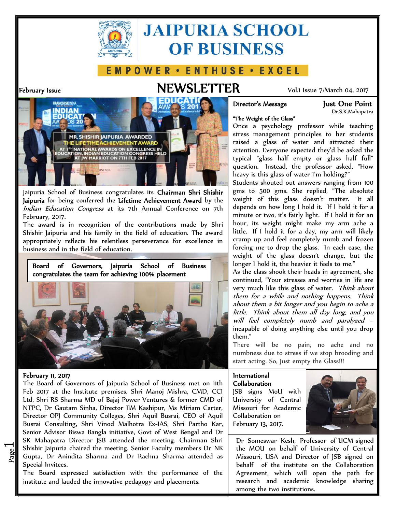

# **JAIPURIA SCHOOL OF BUSINESS**

# E M P O W E R · E N T H U S E · E X C E L

# **February Issue NEWSLETTER** Vol.1 Issue 7/March 04, 2017



Dr.S.K.Mahapatra

#### **"The Weight of the Glass"**

Once a psychology professor while teaching stress management principles to her students raised a glass of water and attracted their attention. Everyone expected they'd be asked the typical "glass half empty or glass half full" question. Instead, the professor asked, "How heavy is this glass of water I'm holding?"

0 Students shouted out answers ranging from 100 gms to 500 gms. She replied, "The absolute weight of this glass doesn't matter. It all depends on how long I hold it. If I hold it for a minute or two, it's fairly light. If I hold it for an hour, its weight might make my arm ache a little. If I hold it for a day, my arm will likely cramp up and feel completely numb and frozen forcing me to drop the glass. In each case, the weight of the glass doesn't change, but the longer 1 hold it, the heavier it feels to me."

As the class shook their heads in agreement, she continued, "Your stresses and worries in life are very much like this glass of water. *Think about them for a while and nothing happens. Think about them a bit longer and you begin to ache a little. Think about them all day long, and you will feel completely numb and paralyzed* – incapable of doing anything else until you drop them."

There will be no pain, no ache and no numbness due to stress if we stop brooding and start acting. So, Just empty the Glass!!!

### **International**

**Collaboration** JSB signs MoU with University of Central Missouri for Academic Collaboration on February 13, 2017.



Dr Someswar Kesh, Professor of UCM signed the MOU on behalf of University of Central Missouri, USA and Director of JSB signed on behalf of the institute on the Collaboration Agreement, which will open the path for research and academic knowledge sharing among the two institutions.



Jaipuria School of Business congratulates its **Chairman Shri Shishir Jaipuria** for being conferred the **Lifetime Achievement Award** by the *Indian Education Congress* at its 7th Annual Conference on 7th February, 2017.

The award is in recognition of the contributions made by Shri Shishir Jaipuria and his family in the field of education. The award appropriately reflects his relentless perseverance for excellence in business and in the field of education.

**Board of Governors, Jaipuria School of Business congratulates the team for achieving 100% placement**



#### **February 11, 2017**

 $\overline{\phantom{0}}$ 

Shishin Japuna chaned the meeting. Semon Pactity members Dr NN<br>Gupta, Dr Anindita Sharma and Dr Rachna Sharma attended as M Shishir Jaipuria chaired the meeting. Senior Faculty members Dr NK  $\parallel$  the  $N$ The Board of Governors of Jaipuria School of Business met on 11th Feb 2017 at the Institute premises. Shri Manoj Mishra, CMD, CCI Ltd, Shri RS Sharma MD of Bajaj Power Ventures & former CMD of NTPC, Dr Gautam Sinha, Director IIM Kashipur, Ms Miriam Carter, Director OPJ Community Colleges, Shri Aquil Busrai, CEO of Aquil Busrai Consulting, Shri Vinod Malhotra Ex-IAS, Shri Partho Kar, Senior Advisor Biswa Bangla initiative, Govt of West Bengal and Dr SK Mahapatra Director JSB attended the meeting. Chairman Shri Special Invitees.

The Board expressed satisfaction with the performance of the institute and lauded the innovative pedagogy and placements.